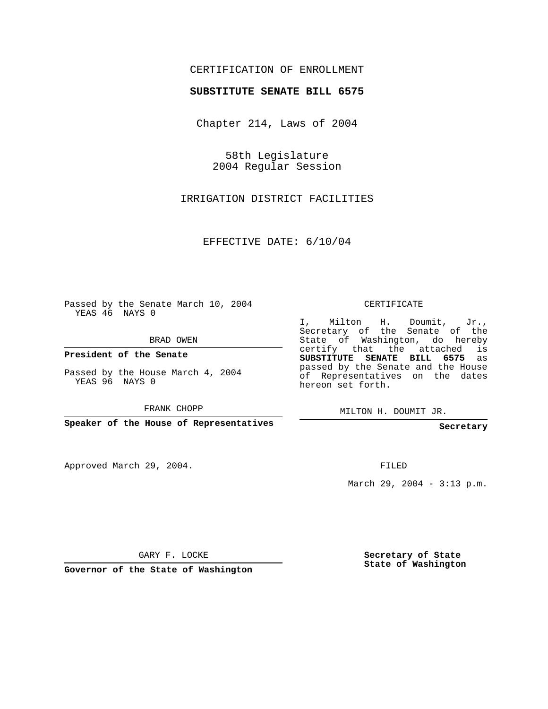## CERTIFICATION OF ENROLLMENT

## **SUBSTITUTE SENATE BILL 6575**

Chapter 214, Laws of 2004

58th Legislature 2004 Regular Session

IRRIGATION DISTRICT FACILITIES

EFFECTIVE DATE: 6/10/04

Passed by the Senate March 10, 2004 YEAS 46 NAYS 0

BRAD OWEN

**President of the Senate**

Passed by the House March 4, 2004 YEAS 96 NAYS 0

FRANK CHOPP

**Speaker of the House of Representatives**

Approved March 29, 2004.

CERTIFICATE

I, Milton H. Doumit, Jr., Secretary of the Senate of the State of Washington, do hereby certify that the attached is **SUBSTITUTE SENATE BILL 6575** as passed by the Senate and the House of Representatives on the dates hereon set forth.

MILTON H. DOUMIT JR.

**Secretary**

FILED

March 29, 2004 - 3:13 p.m.

GARY F. LOCKE

**Governor of the State of Washington**

**Secretary of State State of Washington**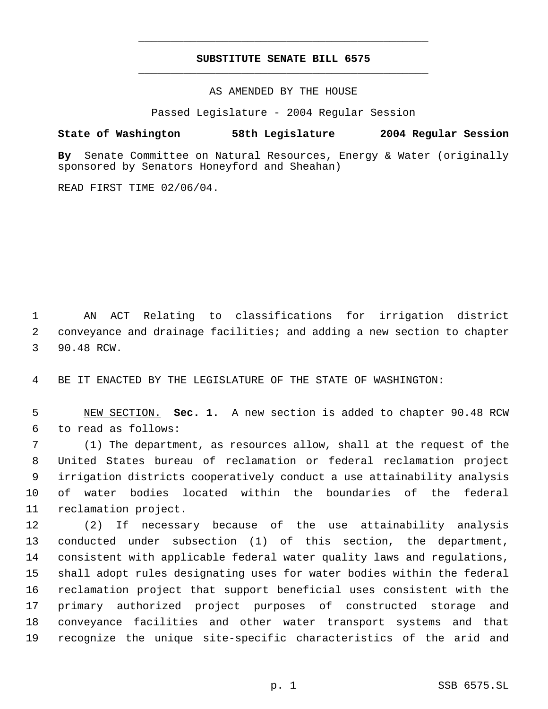## **SUBSTITUTE SENATE BILL 6575** \_\_\_\_\_\_\_\_\_\_\_\_\_\_\_\_\_\_\_\_\_\_\_\_\_\_\_\_\_\_\_\_\_\_\_\_\_\_\_\_\_\_\_\_\_

\_\_\_\_\_\_\_\_\_\_\_\_\_\_\_\_\_\_\_\_\_\_\_\_\_\_\_\_\_\_\_\_\_\_\_\_\_\_\_\_\_\_\_\_\_

AS AMENDED BY THE HOUSE

Passed Legislature - 2004 Regular Session

## **State of Washington 58th Legislature 2004 Regular Session**

**By** Senate Committee on Natural Resources, Energy & Water (originally sponsored by Senators Honeyford and Sheahan)

READ FIRST TIME 02/06/04.

 AN ACT Relating to classifications for irrigation district conveyance and drainage facilities; and adding a new section to chapter 90.48 RCW.

BE IT ENACTED BY THE LEGISLATURE OF THE STATE OF WASHINGTON:

 NEW SECTION. **Sec. 1.** A new section is added to chapter 90.48 RCW to read as follows:

 (1) The department, as resources allow, shall at the request of the United States bureau of reclamation or federal reclamation project irrigation districts cooperatively conduct a use attainability analysis of water bodies located within the boundaries of the federal reclamation project.

 (2) If necessary because of the use attainability analysis conducted under subsection (1) of this section, the department, consistent with applicable federal water quality laws and regulations, shall adopt rules designating uses for water bodies within the federal reclamation project that support beneficial uses consistent with the primary authorized project purposes of constructed storage and conveyance facilities and other water transport systems and that recognize the unique site-specific characteristics of the arid and